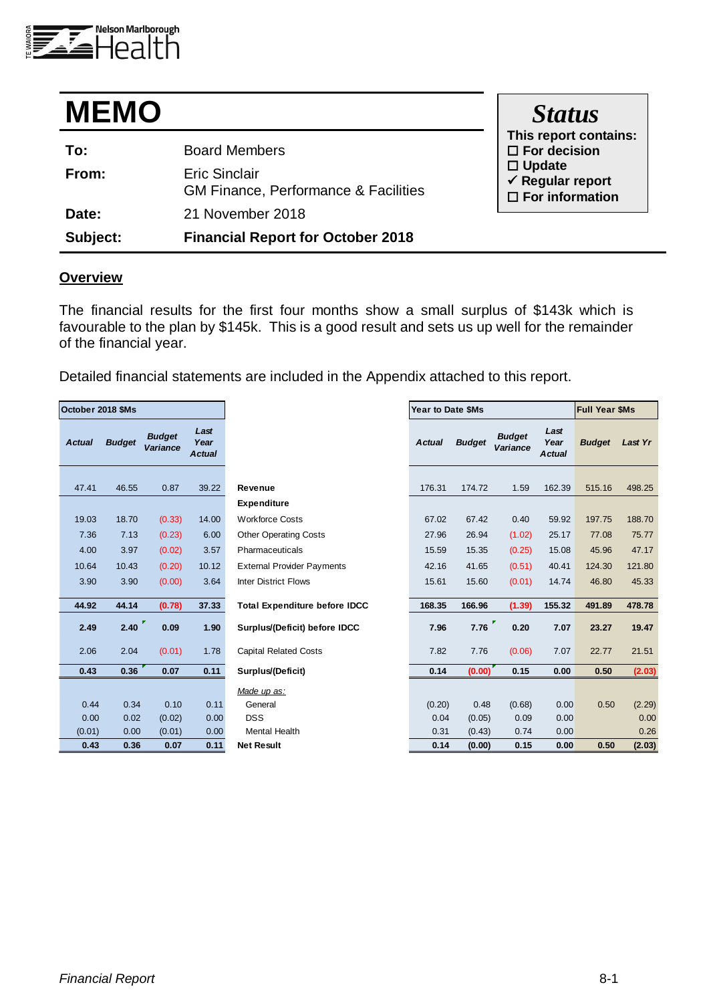

| <b>MEMO</b> |                                                                         | <b>Status</b>                                                             |
|-------------|-------------------------------------------------------------------------|---------------------------------------------------------------------------|
| To:         | <b>Board Members</b>                                                    | This report contains:<br>$\square$ For decision                           |
| From:       | <b>Eric Sinclair</b><br><b>GM Finance, Performance &amp; Facilities</b> | $\Box$ Update<br>$\checkmark$ Regular report<br>$\square$ For information |
| Date:       | 21 November 2018                                                        |                                                                           |
| Subject:    | <b>Financial Report for October 2018</b>                                |                                                                           |

## **Overview**

The financial results for the first four months show a small surplus of \$143k which is favourable to the plan by \$145k. This is a good result and sets us up well for the remainder of the financial year.

Detailed financial statements are included in the Appendix attached to this report.

| October 2018 \$Ms |               |                                  |                               |                                      | Year to Date \$Ms |               |                           |                               | <b>Full Year \$Ms</b> |         |
|-------------------|---------------|----------------------------------|-------------------------------|--------------------------------------|-------------------|---------------|---------------------------|-------------------------------|-----------------------|---------|
| <b>Actual</b>     | <b>Budget</b> | <b>Budget</b><br><b>Variance</b> | Last<br>Year<br><b>Actual</b> |                                      | <b>Actual</b>     | <b>Budget</b> | <b>Budget</b><br>Variance | Last<br>Year<br><b>Actual</b> | <b>Budget</b>         | Last Yr |
|                   |               |                                  |                               |                                      |                   |               |                           |                               |                       |         |
| 47.41             | 46.55         | 0.87                             | 39.22                         | <b>Revenue</b>                       | 176.31            | 174.72        | 1.59                      | 162.39                        | 515.16                | 498.25  |
|                   |               |                                  |                               | <b>Expenditure</b>                   |                   |               |                           |                               |                       |         |
| 19.03             | 18.70         | (0.33)                           | 14.00                         | <b>Workforce Costs</b>               | 67.02             | 67.42         | 0.40                      | 59.92                         | 197.75                | 188.70  |
| 7.36              | 7.13          | (0.23)                           | 6.00                          | <b>Other Operating Costs</b>         | 27.96             | 26.94         | (1.02)                    | 25.17                         | 77.08                 | 75.77   |
| 4.00              | 3.97          | (0.02)                           | 3.57                          | Pharmaceuticals                      | 15.59             | 15.35         | (0.25)                    | 15.08                         | 45.96                 | 47.17   |
| 10.64             | 10.43         | (0.20)                           | 10.12                         | <b>External Provider Payments</b>    | 42.16             | 41.65         | (0.51)                    | 40.41                         | 124.30                | 121.80  |
| 3.90              | 3.90          | (0.00)                           | 3.64                          | <b>Inter District Flows</b>          | 15.61             | 15.60         | (0.01)                    | 14.74                         | 46.80                 | 45.33   |
| 44.92             | 44.14         | (0.78)                           | 37.33                         | <b>Total Expenditure before IDCC</b> | 168.35            | 166.96        | (1.39)                    | 155.32                        | 491.89                | 478.78  |
| 2.49              | 2.40          | 0.09                             | 1.90                          | Surplus/(Deficit) before IDCC        | 7.96              | 7.76          | 0.20                      | 7.07                          | 23.27                 | 19.47   |
| 2.06              | 2.04          | (0.01)                           | 1.78                          | <b>Capital Related Costs</b>         | 7.82              | 7.76          | (0.06)                    | 7.07                          | 22.77                 | 21.51   |
| 0.43              | 0.36          | 0.07                             | 0.11                          | Surplus/(Deficit)                    | 0.14              | (0.00)        | 0.15                      | 0.00                          | 0.50                  | (2.03)  |
|                   |               |                                  |                               | Made up as:                          |                   |               |                           |                               |                       |         |
| 0.44              | 0.34          | 0.10                             | 0.11                          | General                              | (0.20)            | 0.48          | (0.68)                    | 0.00                          | 0.50                  | (2.29)  |
| 0.00              | 0.02          | (0.02)                           | 0.00                          | <b>DSS</b>                           | 0.04              | (0.05)        | 0.09                      | 0.00                          |                       | 0.00    |
| (0.01)            | 0.00          | (0.01)                           | 0.00                          | <b>Mental Health</b>                 | 0.31              | (0.43)        | 0.74                      | 0.00                          |                       | 0.26    |
| 0.43              | 0.36          | 0.07                             | 0.11                          | <b>Net Result</b>                    | 0.14              | (0.00)        | 0.15                      | 0.00                          | 0.50                  | (2.03)  |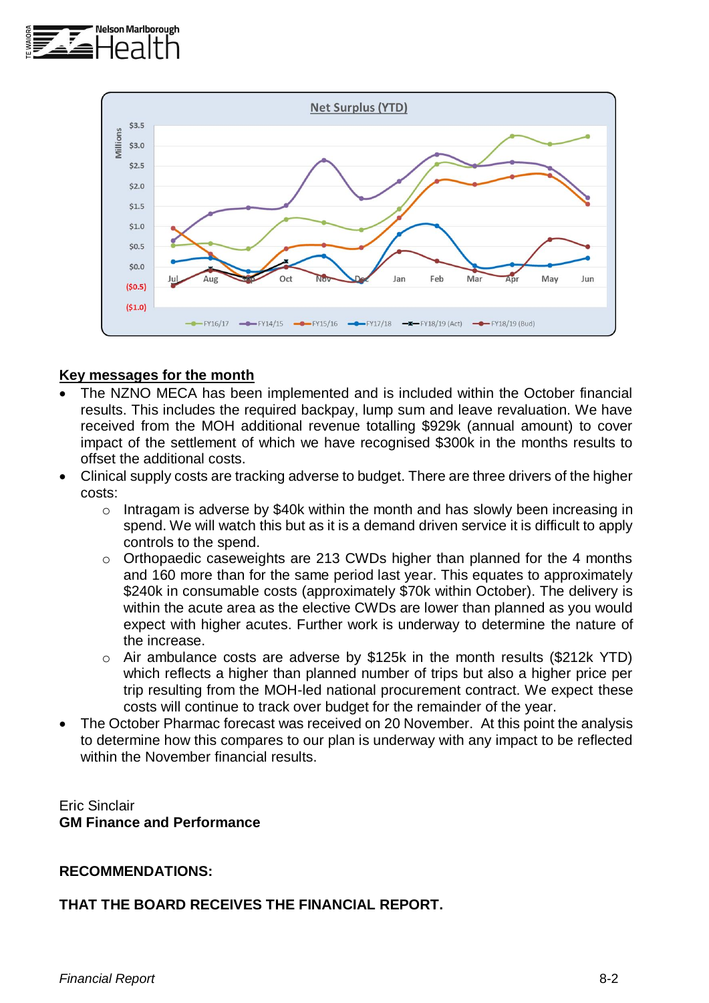



### **Key messages for the month**

- The NZNO MECA has been implemented and is included within the October financial results. This includes the required backpay, lump sum and leave revaluation. We have received from the MOH additional revenue totalling \$929k (annual amount) to cover impact of the settlement of which we have recognised \$300k in the months results to offset the additional costs.
- Clinical supply costs are tracking adverse to budget. There are three drivers of the higher costs:
	- o Intragam is adverse by \$40k within the month and has slowly been increasing in spend. We will watch this but as it is a demand driven service it is difficult to apply controls to the spend.
	- o Orthopaedic caseweights are 213 CWDs higher than planned for the 4 months and 160 more than for the same period last year. This equates to approximately \$240k in consumable costs (approximately \$70k within October). The delivery is within the acute area as the elective CWDs are lower than planned as you would expect with higher acutes. Further work is underway to determine the nature of the increase.
	- o Air ambulance costs are adverse by \$125k in the month results (\$212k YTD) which reflects a higher than planned number of trips but also a higher price per trip resulting from the MOH-led national procurement contract. We expect these costs will continue to track over budget for the remainder of the year.
- The October Pharmac forecast was received on 20 November. At this point the analysis to determine how this compares to our plan is underway with any impact to be reflected within the November financial results.

Eric Sinclair **GM Finance and Performance**

### **RECOMMENDATIONS:**

#### **THAT THE BOARD RECEIVES THE FINANCIAL REPORT.**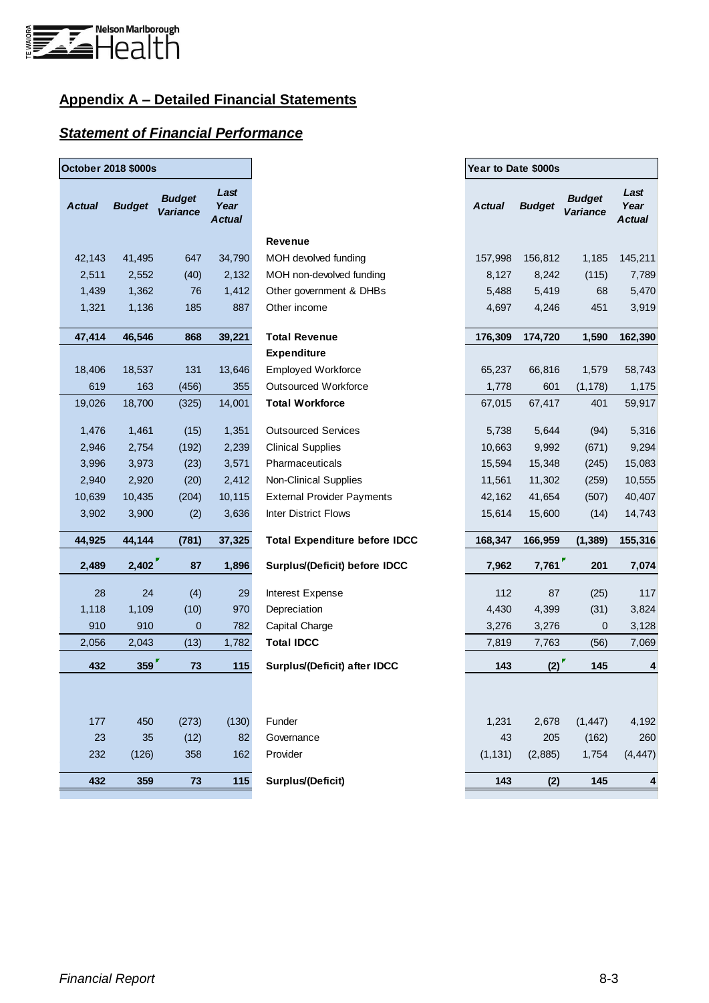

# **Appendix A – Detailed Financial Statements**

## *Statement of Financial Performance*

| <b>October 2018 \$000s</b> |               |                                  |                               |                                      |               | Year to Date \$000s |                                  |                               |  |  |
|----------------------------|---------------|----------------------------------|-------------------------------|--------------------------------------|---------------|---------------------|----------------------------------|-------------------------------|--|--|
| <b>Actual</b>              | <b>Budget</b> | <b>Budget</b><br><b>Variance</b> | Last<br>Year<br><b>Actual</b> |                                      | <b>Actual</b> | <b>Budget</b>       | <b>Budget</b><br><b>Variance</b> | Last<br>Year<br><b>Actual</b> |  |  |
|                            |               |                                  |                               | <b>Revenue</b>                       |               |                     |                                  |                               |  |  |
| 42,143                     | 41,495        | 647                              | 34,790                        | MOH devolved funding                 | 157,998       | 156,812             | 1,185                            | 145,211                       |  |  |
| 2,511                      | 2,552         | (40)                             | 2,132                         | MOH non-devolved funding             | 8,127         | 8,242               | (115)                            | 7,789                         |  |  |
| 1,439                      | 1,362         | 76                               | 1,412                         | Other government & DHBs              | 5,488         | 5,419               | 68                               | 5,470                         |  |  |
| 1,321                      | 1,136         | 185                              | 887                           | Other income                         | 4,697         | 4,246               | 451                              | 3,919                         |  |  |
| 47,414                     | 46,546        | 868                              | 39,221                        | <b>Total Revenue</b>                 | 176,309       | 174,720             | 1,590                            | 162,390                       |  |  |
|                            |               |                                  |                               | <b>Expenditure</b>                   |               |                     |                                  |                               |  |  |
| 18,406                     | 18,537        | 131                              | 13,646                        | <b>Employed Workforce</b>            | 65,237        | 66,816              | 1,579                            | 58,743                        |  |  |
| 619                        | 163           | (456)                            | 355                           | <b>Outsourced Workforce</b>          | 1,778         | 601                 | (1, 178)                         | 1,175                         |  |  |
| 19,026                     | 18,700        | (325)                            | 14,001                        | <b>Total Workforce</b>               | 67,015        | 67,417              | 401                              | 59,917                        |  |  |
| 1,476                      | 1,461         | (15)                             | 1,351                         | <b>Outsourced Services</b>           | 5,738         | 5,644               | (94)                             | 5,316                         |  |  |
| 2,946                      | 2,754         | (192)                            | 2,239                         | <b>Clinical Supplies</b>             | 10,663        | 9,992               | (671)                            | 9,294                         |  |  |
| 3,996                      | 3,973         | (23)                             | 3,571                         | Pharmaceuticals                      | 15,594        | 15,348              | (245)                            | 15,083                        |  |  |
| 2,940                      | 2,920         | (20)                             | 2,412                         | <b>Non-Clinical Supplies</b>         | 11,561        | 11,302              | (259)                            | 10,555                        |  |  |
| 10,639                     | 10,435        | (204)                            | 10,115                        | <b>External Provider Payments</b>    | 42,162        | 41,654              | (507)                            | 40,407                        |  |  |
| 3,902                      | 3,900         | (2)                              | 3,636                         | Inter District Flows                 | 15,614        | 15,600              | (14)                             | 14,743                        |  |  |
| 44,925                     | 44,144        | (781)                            | 37,325                        | <b>Total Expenditure before IDCC</b> | 168,347       | 166,959             | (1, 389)                         | 155,316                       |  |  |
| 2,489                      | 2,402         | 87                               | 1,896                         | Surplus/(Deficit) before IDCC        | 7,962         | 7,761               | 201                              | 7,074                         |  |  |
| 28                         | 24            | (4)                              | 29                            | Interest Expense                     | 112           | 87                  | (25)                             | 117                           |  |  |
| 1,118                      | 1,109         | (10)                             | 970                           | Depreciation                         | 4,430         | 4,399               | (31)                             | 3,824                         |  |  |
| 910                        | 910           | $\mathbf 0$                      | 782                           | Capital Charge                       | 3,276         | 3,276               | 0                                | 3,128                         |  |  |
| 2,056                      | 2,043         | (13)                             | 1,782                         | <b>Total IDCC</b>                    | 7,819         | 7,763               | (56)                             | 7,069                         |  |  |
| 432                        | 359           | 73                               | 115                           | Surplus/(Deficit) after IDCC         | 143           | (2)                 | 145                              | 4                             |  |  |
|                            |               |                                  |                               |                                      |               |                     |                                  |                               |  |  |
| 177                        | 450           | (273)                            | (130)                         | Funder                               | 1,231         | 2,678               | (1, 447)                         | 4,192                         |  |  |
| 23                         | 35            | (12)                             | 82                            | Governance                           | 43            | 205                 | (162)                            | 260                           |  |  |
| 232                        | (126)         | 358                              | 162                           | Provider                             | (1, 131)      | (2,885)             | 1,754                            | (4, 447)                      |  |  |
| 432                        | 359           | 73                               | 115                           | Surplus/(Deficit)                    | 143           | (2)                 | 145                              | 4                             |  |  |
|                            |               |                                  |                               |                                      |               |                     |                                  |                               |  |  |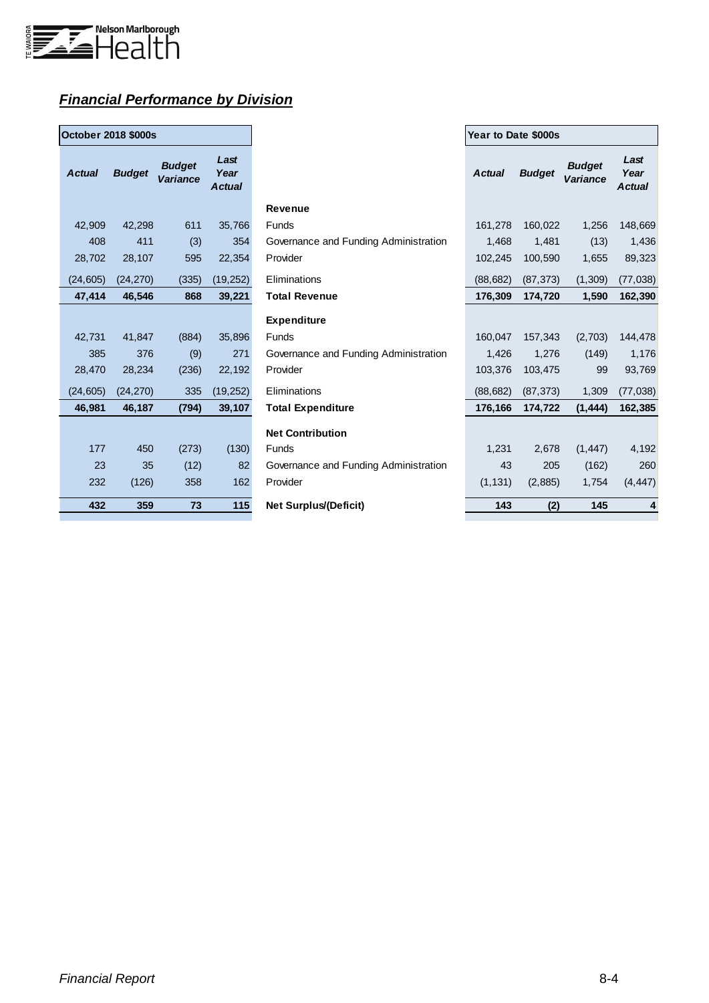

# *Financial Performance by Division*

| <b>October 2018 \$000s</b> |               |                           |                        |  |  |  |  |  |  |  |
|----------------------------|---------------|---------------------------|------------------------|--|--|--|--|--|--|--|
| <b>Actual</b>              | <b>Budget</b> | <b>Budget</b><br>Variance | Last<br>Year<br>Actual |  |  |  |  |  |  |  |
| 42,909                     | 42,298        | 611                       | 35,766                 |  |  |  |  |  |  |  |
| 408                        | 411           | (3)                       | 354                    |  |  |  |  |  |  |  |
| 28,702                     | 28,107        | 595                       | 22,354                 |  |  |  |  |  |  |  |
| (24, 605)                  | (24, 270)     | (335)                     | (19, 252)              |  |  |  |  |  |  |  |
| 47,414                     | 46,546        | 868                       | 39,221                 |  |  |  |  |  |  |  |
|                            |               |                           |                        |  |  |  |  |  |  |  |
| 42,731                     | 41,847        | (884)                     | 35,896                 |  |  |  |  |  |  |  |
| 385                        | 376           | (9)                       | 271                    |  |  |  |  |  |  |  |
| 28.470                     | 28.234        | (236)                     | 22,192                 |  |  |  |  |  |  |  |
| (24, 605)                  | (24, 270)     | 335                       | (19, 252)              |  |  |  |  |  |  |  |
| 46,981                     | 46,187        | (794)                     | 39,107                 |  |  |  |  |  |  |  |
|                            |               |                           |                        |  |  |  |  |  |  |  |
| 177                        | 450           | (273)                     | (130)                  |  |  |  |  |  |  |  |
| 23                         | 35            | (12)                      | 82                     |  |  |  |  |  |  |  |
| 232                        | (126)         | 358                       | 162                    |  |  |  |  |  |  |  |
| 432                        | 359           | 73                        | 115                    |  |  |  |  |  |  |  |

| <b>October 2018 \$000s</b> |               |                                  |                               |                                       | Year to Date \$000s |               |                           |                               |
|----------------------------|---------------|----------------------------------|-------------------------------|---------------------------------------|---------------------|---------------|---------------------------|-------------------------------|
| <b>Actual</b>              | <b>Budget</b> | <b>Budget</b><br><b>Variance</b> | Last<br>Year<br><b>Actual</b> |                                       | <b>Actual</b>       | <b>Budget</b> | <b>Budget</b><br>Variance | Last<br>Year<br><b>Actual</b> |
|                            |               |                                  |                               | <b>Revenue</b>                        |                     |               |                           |                               |
| 42,909                     | 42,298        | 611                              | 35,766                        | Funds                                 | 161,278             | 160,022       | 1,256                     | 148,669                       |
| 408                        | 411           | (3)                              | 354                           | Governance and Funding Administration | 1,468               | 1,481         | (13)                      | 1,436                         |
| 28,702                     | 28,107        | 595                              | 22,354                        | Provider                              | 102,245             | 100,590       | 1,655                     | 89,323                        |
| (24, 605)                  | (24, 270)     | (335)                            | (19, 252)                     | Eliminations                          | (88, 682)           | (87, 373)     | (1,309)                   | (77, 038)                     |
| 47,414                     | 46,546        | 868                              | 39,221                        | <b>Total Revenue</b>                  | 176,309             | 174,720       | 1,590                     | 162,390                       |
|                            |               |                                  |                               | <b>Expenditure</b>                    |                     |               |                           |                               |
| 42,731                     | 41,847        | (884)                            | 35,896                        | Funds                                 | 160,047             | 157,343       | (2,703)                   | 144,478                       |
| 385                        | 376           | (9)                              | 271                           | Governance and Funding Administration | 1,426               | 1,276         | (149)                     | 1,176                         |
| 28,470                     | 28,234        | (236)                            | 22,192                        | Provider                              | 103,376             | 103,475       | 99                        | 93,769                        |
| (24, 605)                  | (24, 270)     | 335                              | (19, 252)                     | Eliminations                          | (88, 682)           | (87, 373)     | 1,309                     | (77, 038)                     |
| 46,981                     | 46,187        | (794)                            | 39,107                        | <b>Total Expenditure</b>              | 176,166             | 174,722       | (1, 444)                  | 162,385                       |
|                            |               |                                  |                               | <b>Net Contribution</b>               |                     |               |                           |                               |
| 177                        | 450           | (273)                            | (130)                         | <b>Funds</b>                          | 1,231               | 2,678         | (1, 447)                  | 4,192                         |
| 23                         | 35            | (12)                             | 82                            | Governance and Funding Administration | 43                  | 205           | (162)                     | 260                           |
| 232                        | (126)         | 358                              | 162                           | Provider                              | (1, 131)            | (2,885)       | 1,754                     | (4, 447)                      |
| 432                        | 359           | 73                               | 115                           | <b>Net Surplus/(Deficit)</b>          | 143                 | (2)           | 145                       | $\overline{4}$                |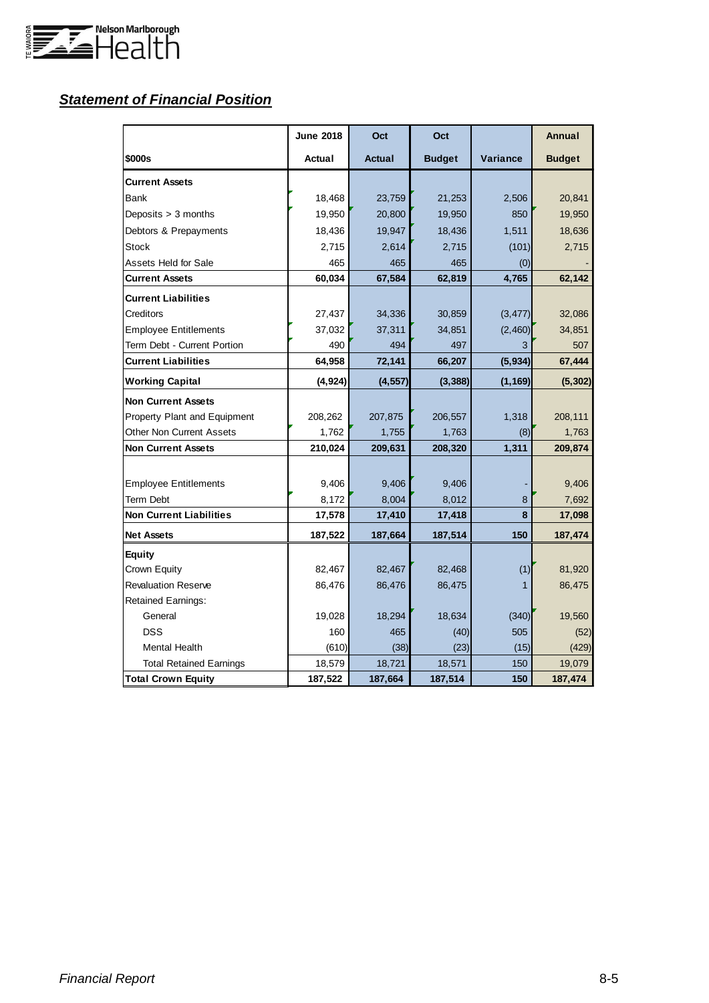

# *Statement of Financial Position*

|                                 | <b>June 2018</b> | Oct           | Oct           |          | Annual        |
|---------------------------------|------------------|---------------|---------------|----------|---------------|
| \$000s                          | Actual           | <b>Actual</b> | <b>Budget</b> | Variance | <b>Budget</b> |
| <b>Current Assets</b>           |                  |               |               |          |               |
| Bank                            | 18,468           | 23,759        | 21,253        | 2,506    | 20,841        |
| Deposits $> 3$ months           | 19,950           | 20,800        | 19,950        | 850      | 19,950        |
| Debtors & Prepayments           | 18,436           | 19,947        | 18,436        | 1,511    | 18,636        |
| Stock                           | 2,715            | 2,614         | 2,715         | (101)    | 2,715         |
| Assets Held for Sale            | 465              | 465           | 465           | (0)      |               |
| <b>Current Assets</b>           | 60,034           | 67,584        | 62,819        | 4,765    | 62,142        |
| <b>Current Liabilities</b>      |                  |               |               |          |               |
| Creditors                       | 27,437           | 34,336        | 30,859        | (3, 477) | 32,086        |
| <b>Employee Entitlements</b>    | 37,032           | 37,311        | 34,851        | (2,460)  | 34,851        |
| Term Debt - Current Portion     | 490              | 494           | 497           |          | 507           |
| <b>Current Liabilities</b>      | 64,958           | 72,141        | 66,207        | (5,934)  | 67,444        |
| <b>Working Capital</b>          | (4, 924)         | (4, 557)      | (3, 388)      | (1, 169) | (5, 302)      |
| <b>Non Current Assets</b>       |                  |               |               |          |               |
| Property Plant and Equipment    | 208,262          | 207,875       | 206,557       | 1,318    | 208,111       |
| <b>Other Non Current Assets</b> | 1,762            | 1,755         | 1,763         | (8)      | 1,763         |
| <b>Non Current Assets</b>       | 210,024          | 209,631       | 208,320       | 1,311    | 209,874       |
|                                 |                  |               |               |          |               |
| <b>Employee Entitlements</b>    | 9,406            | 9,406         | 9,406         |          | 9,406         |
| Term Debt                       | 8,172            | 8,004         | 8,012         | 8        | 7,692         |
| <b>Non Current Liabilities</b>  | 17,578           | 17,410        | 17,418        | 8        | 17,098        |
| <b>Net Assets</b>               | 187,522          | 187,664       | 187,514       | 150      | 187,474       |
| Equity                          |                  |               |               |          |               |
| Crown Equity                    | 82,467           | 82,467        | 82,468        | (1)      | 81,920        |
| <b>Revaluation Reserve</b>      | 86,476           | 86,476        | 86,475        | 1        | 86,475        |
| <b>Retained Earnings:</b>       |                  |               |               |          |               |
| General                         | 19,028           | 18,294        | 18,634        | (340)    | 19,560        |
| <b>DSS</b>                      | 160              | 465           | (40)          | 505      | (52)          |
| <b>Mental Health</b>            | (610)            | (38)          | (23)          | (15)     | (429)         |
| <b>Total Retained Earnings</b>  | 18,579           | 18,721        | 18,571        | 150      | 19,079        |
| <b>Total Crown Equity</b>       | 187,522          | 187,664       | 187,514       | 150      | 187,474       |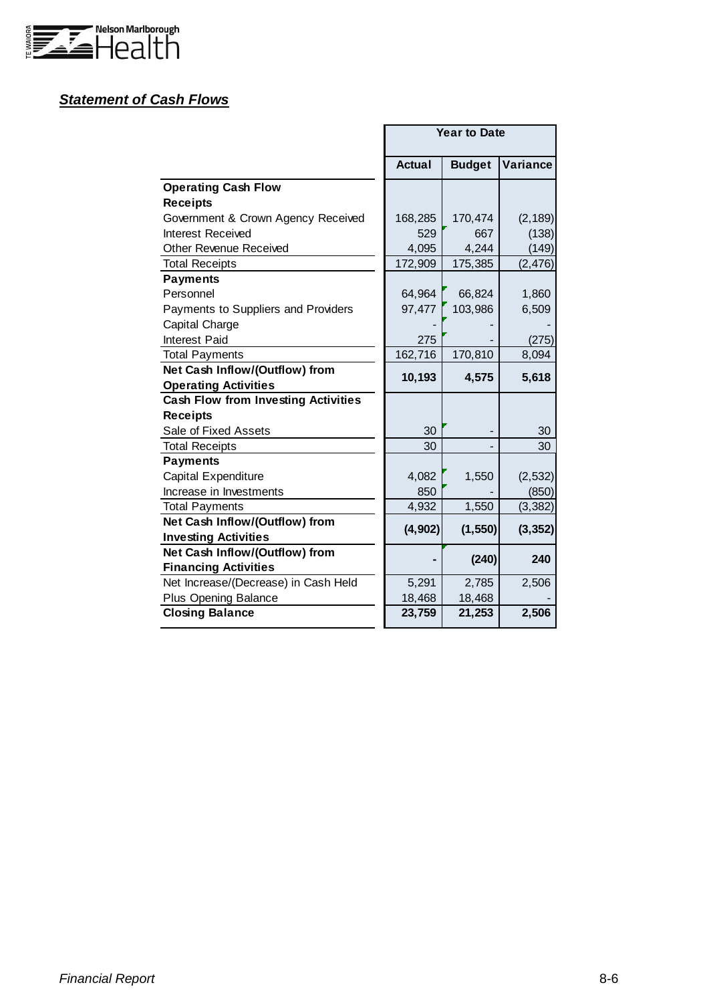

## *Statement of Cash Flows*

|                                            | <b>Year to Date</b> |               |          |  |  |  |
|--------------------------------------------|---------------------|---------------|----------|--|--|--|
|                                            | Actual              | <b>Budget</b> | Variance |  |  |  |
| <b>Operating Cash Flow</b>                 |                     |               |          |  |  |  |
| <b>Receipts</b>                            |                     |               |          |  |  |  |
| Government & Crown Agency Received         | 168,285             | 170,474       | (2, 189) |  |  |  |
| Interest Received                          | 529                 | 667           | (138)    |  |  |  |
| Other Revenue Received                     | 4,095               | 4,244         | (149)    |  |  |  |
| <b>Total Receipts</b>                      | 172,909             | 175,385       | (2, 476) |  |  |  |
| <b>Payments</b>                            |                     |               |          |  |  |  |
| Personnel                                  | 64,964              | 66,824        | 1,860    |  |  |  |
| Payments to Suppliers and Providers        | 97,477              | 103,986       | 6,509    |  |  |  |
| Capital Charge                             |                     |               |          |  |  |  |
| Interest Paid                              | 275                 |               | (275)    |  |  |  |
| <b>Total Payments</b>                      | 162,716             | 170,810       | 8,094    |  |  |  |
| Net Cash Inflow/(Outflow) from             | 10,193              | 4,575         | 5,618    |  |  |  |
| <b>Operating Activities</b>                |                     |               |          |  |  |  |
| <b>Cash Flow from Investing Activities</b> |                     |               |          |  |  |  |
| <b>Receipts</b>                            |                     |               |          |  |  |  |
| Sale of Fixed Assets                       | 30                  |               | 30       |  |  |  |
| <b>Total Receipts</b>                      | 30                  |               | 30       |  |  |  |
| <b>Payments</b>                            |                     |               |          |  |  |  |
| Capital Expenditure                        | 4,082               | 1,550         | (2, 532) |  |  |  |
| Increase in Investments                    | 850                 |               | (850)    |  |  |  |
| <b>Total Payments</b>                      | 4,932               | 1,550         | (3, 382) |  |  |  |
| Net Cash Inflow/(Outflow) from             | (4, 902)            | (1, 550)      | (3, 352) |  |  |  |
| <b>Investing Activities</b>                |                     |               |          |  |  |  |
| Net Cash Inflow/(Outflow) from             |                     | (240)         | 240      |  |  |  |
| <b>Financing Activities</b>                |                     |               |          |  |  |  |
| Net Increase/(Decrease) in Cash Held       | 5,291               | 2,785         | 2,506    |  |  |  |
| <b>Plus Opening Balance</b>                | 18,468              | 18,468        |          |  |  |  |
| <b>Closing Balance</b>                     | 23,759              | 21,253        | 2,506    |  |  |  |